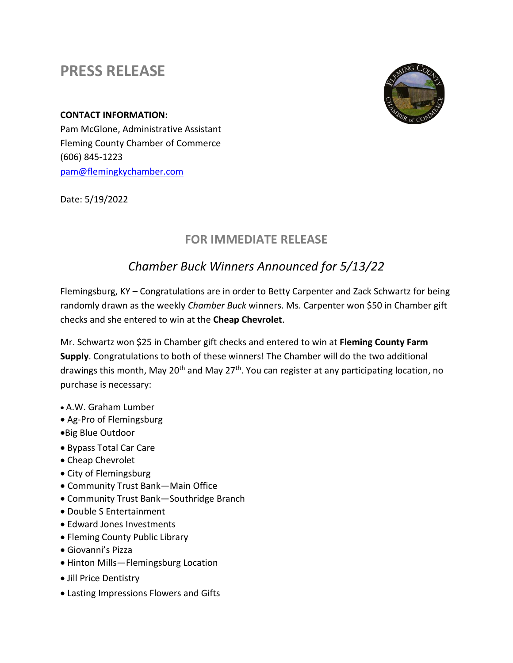## **PRESS RELEASE**





Pam McGlone, Administrative Assistant Fleming County Chamber of Commerce (606) 845-1223 [pam@flemingkychamber.com](mailto:pam@flemingkychamber.com)

Date: 5/19/2022

## **FOR IMMEDIATE RELEASE**

## *Chamber Buck Winners Announced for 5/13/22*

Flemingsburg, KY – Congratulations are in order to Betty Carpenter and Zack Schwartz for being randomly drawn as the weekly *Chamber Buck* winners. Ms. Carpenter won \$50 in Chamber gift checks and she entered to win at the **Cheap Chevrolet**.

Mr. Schwartz won \$25 in Chamber gift checks and entered to win at **Fleming County Farm Supply**. Congratulations to both of these winners! The Chamber will do the two additional drawings this month, May 20<sup>th</sup> and May 27<sup>th</sup>. You can register at any participating location, no purchase is necessary:

- A.W. Graham Lumber
- Ag-Pro of Flemingsburg
- •Big Blue Outdoor
- Bypass Total Car Care
- Cheap Chevrolet
- City of Flemingsburg
- Community Trust Bank—Main Office
- Community Trust Bank—Southridge Branch
- Double S Entertainment
- Edward Jones Investments
- Fleming County Public Library
- Giovanni's Pizza
- Hinton Mills—Flemingsburg Location
- Jill Price Dentistry
- Lasting Impressions Flowers and Gifts